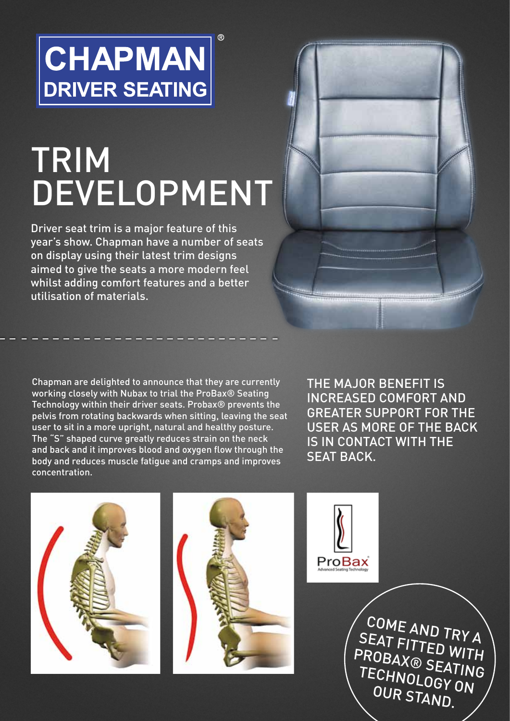## **CHAPMAN DRIVER SEATING**

# **TRIM DEVELOPMENT**

 $\overline{R}$ 

Driver seat trim is a major feature of this year's show. Chapman have a number of seats on display using their latest trim designs aimed to give the seats a more modern feel whilst adding comfort features and a better utilisation of materials.

Chapman are delighted to announce that they are currently working closely with Nubax to trial the ProBax® Seating Technology within their driver seats. Probax® prevents the pelvis from rotating backwards when sitting, leaving the seat user to sit in a more upright, natural and healthy posture. The "S" shaped curve greatly reduces strain on the neck and back and it improves blood and oxygen flow through the body and reduces muscle fatigue and cramps and improves concentration.

The major benefit is increased comfort and greater support for the user as more of the back is in contact with the SEAT BACK







Come a **SEA** nd try a PROBAX® SEATING **NT FITTED WITH** Techn OLOGY ON OUR STAND.